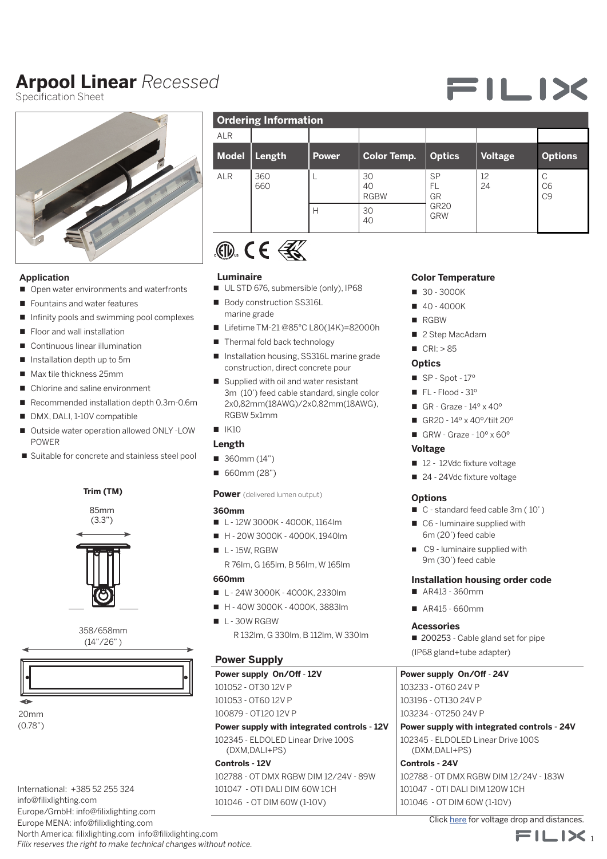## **Arpool Linear** *Recessed*

Specification Sheet



## **Application**

- Open water environments and waterfronts
- Fountains and water features
- Infinity pools and swimming pool complexes
- **Floor and wall installation**
- Continuous linear illumination
- $\blacksquare$  Installation depth up to 5m
- Max tile thickness 25mm
- Chlorine and saline environment
- Recommended installation depth 0.3m-0.6m
- DMX, DALI, 1-10V compatible
- Outside water operation allowed ONLY -LOW POWER
- Suitable for concrete and stainless steel pool

## **Trim (TM)**



358/658mm (14"/26" )



20mm (0.78")

Europe/GmbH: info@filixlighting.com<br>Europe MENA: info@filixlighting.com<br>North America: filixlighting.com\_info@filixlighting.com International: +385 52 255 324 info@filixlighting.com Europe/GmbH: info@filixlighting.com Europe MENA: info@filixlighting.com

*Filix reserves the right to make technical changes without notice.*

| <b>Ordering Information</b> |            |              |                         |                                             |          |                           |
|-----------------------------|------------|--------------|-------------------------|---------------------------------------------|----------|---------------------------|
| <b>ALR</b>                  |            |              |                         |                                             |          |                           |
| <b>Model</b>                | Length     | <b>Power</b> | <b>Color Temp.</b>      | <b>Optics</b>                               | Voltage  | <b>Options</b>            |
| <b>ALR</b>                  | 360<br>660 |              | 30<br>40<br><b>RGBW</b> | <b>SP</b><br>FL<br>GR<br><b>GR20</b><br>GRW | 12<br>24 | C<br>C6<br>C <sub>9</sub> |
|                             |            | Н            | 30<br>40                |                                             |          |                           |

# $\mathbb{CD}$   $\mathsf{CE}$   $\mathbb{H}$

## **Luminaire**

- $\blacksquare$  UL STD 676, submersible (only), IP68
- Body construction SS316L marine grade
- Lifetime TM-21 @85°C L80(14K)=82000h
- $\blacksquare$  Thermal fold back technology
- Installation housing, SS316L marine grade construction, direct concrete pour
- Supplied with oil and water resistant 3m (10') feed cable standard, single color 2x0,82mm(18AWG)/2x0,82mm(18AWG), RGBW 5x1mm

## $\blacksquare$  IK10

## **Length**

- $\blacksquare$  360mm (14")
- $\blacksquare$  660mm (28")

## **Power** (delivered lumen output)

### **360mm**

- $L 12W 3000K 4000K$ . 1164lm
- H 20W 3000K 4000K, 1940lm
- $\blacksquare$  L 15W, RGBW R 76lm, G 165lm, B 56lm, W 165lm

#### **660mm**

- L 24W 3000K 4000K, 2330lm
- H 40W 3000K 4000K, 3883lm
- $\blacksquare$  L 30W RGBW

R 132lm, G 330lm, B 112lm, W 330lm

## **Power Supply**

## **Power supply On/Off** - **12V**

101052 - OT30 12V P 101053 - OT60 12V P 100879 - OT120 12V P

## **Power supply with integrated controls - 12V**

(DXM,DALI+PS) 102345 - ELDOLED Linear Drive 100S

## **Controls - 12V**

 $\overline{a}$ 102788 - OT DMX RGBW DIM 12/24V - 89W 101047 - OTI DALI DIM 60W 1CH 101046 - OT DIM 60W (1-10V)

## **Color Temperature**

- **30 3000K**
- $40 4000K$
- **n** RGBW
- 2 Step MacAdam
- $CRI: > 85$

## **Optics**

- $\blacksquare$  SP Spot 17°
- FL Flood 31°
- GR Graze  $14^\circ \times 40^\circ$
- $\blacksquare$  GR20 14° x 40°/tilt 20°
- GRW Graze  $10^{\circ} \times 60^{\circ}$

## **Voltage**

- 12 12Vdc fixture voltage
- 24 24Vdc fixture voltage

## **Options**

- C standard feed cable 3m (10')
- $\Box$  C6 luminaire supplied with 6m (20') feed cable
- C9 luminaire supplied with 9m (30') feed cable

## **Installation housing order code**

- $R413 360$ mm
- $A$ R415 660mm

#### **Acessories**

■ 200253 - Cable gland set for pipe (IP68 gland+tube adapter)

#### **Power supply On/Off** - **24V**

103233 - OT60 24V P 103196 - OT130 24V P

103234 - OT250 24V P

**Power supply with integrated controls - 24V**

102345 - ELDOLED Linear Drive 100S (DXM,DALI+PS)

**Controls - 24V** 102788 - OT DMX RGBW DIM 12/24V - 183W 101047 - OTI DALI DIM 120W 1CH 101046 - OT DIM 60W (1-10V)

Click [here](https://direct.lc.chat/11747922/) for voltage drop and distances.



# FILIX